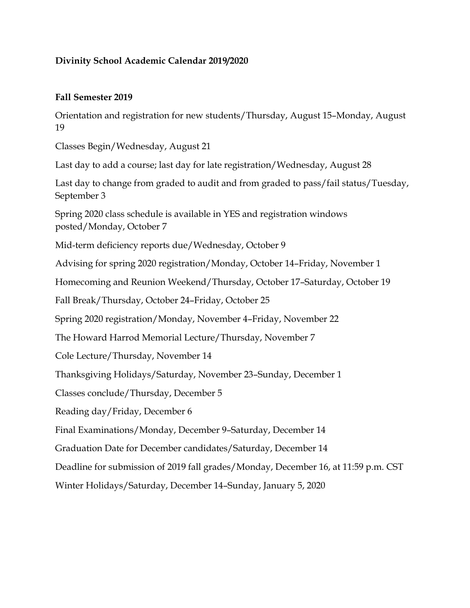## **Divinity School Academic Calendar 2019/2020**

## **Fall Semester 2019**

Orientation and registration for new students/Thursday, August 15–Monday, August 19

Classes Begin/Wednesday, August 21

Last day to add a course; last day for late registration/Wednesday, August 28

Last day to change from graded to audit and from graded to pass/fail status/Tuesday, September 3

Spring 2020 class schedule is available in YES and registration windows posted/Monday, October 7

Mid-term deficiency reports due/Wednesday, October 9

Advising for spring 2020 registration/Monday, October 14–Friday, November 1

Homecoming and Reunion Weekend/Thursday, October 17–Saturday, October 19

Fall Break/Thursday, October 24–Friday, October 25

Spring 2020 registration/Monday, November 4–Friday, November 22

The Howard Harrod Memorial Lecture/Thursday, November 7

Cole Lecture/Thursday, November 14

Thanksgiving Holidays/Saturday, November 23–Sunday, December 1

Classes conclude/Thursday, December 5

Reading day/Friday, December 6

Final Examinations/Monday, December 9–Saturday, December 14

Graduation Date for December candidates/Saturday, December 14

Deadline for submission of 2019 fall grades/Monday, December 16, at 11:59 p.m. CST

Winter Holidays/Saturday, December 14–Sunday, January 5, 2020